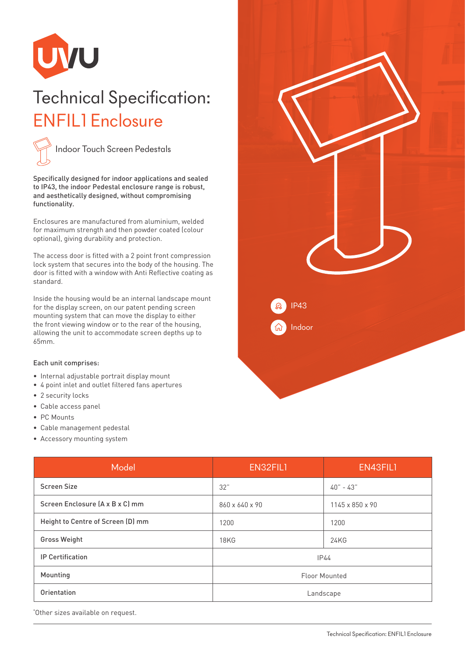

## Technical Specification: ENFIL1 Enclosure



Specifically designed for indoor applications and sealed to IP43, the indoor Pedestal enclosure range is robust, and aesthetically designed, without compromising functionality.

Enclosures are manufactured from aluminium, welded for maximum strength and then powder coated (colour optional), giving durability and protection.

The access door is fitted with a 2 point front compression lock system that secures into the body of the housing. The door is fitted with a window with Anti Reflective coating as standard.

Inside the housing would be an internal landscape mount for the display screen, on our patent pending screen mounting system that can move the display to either the front viewing window or to the rear of the housing, allowing the unit to accommodate screen depths up to 65mm.

## Each unit comprises:

- Internal adjustable portrait display mount
- 4 point inlet and outlet filtered fans apertures
- 2 security locks
- Cable access panel
- PC Mounts
- Cable management pedestal
- Accessory mounting system

| Model                             | EN32FIL1             | EN43FIL1        |
|-----------------------------------|----------------------|-----------------|
| <b>Screen Size</b>                | 32"                  | $40 - 43$       |
| Screen Enclosure (A x B x C) mm   | 860 x 640 x 90       | 1145 x 850 x 90 |
| Height to Centre of Screen (D) mm | 1200                 | 1200            |
| <b>Gross Weight</b>               | 18KG                 | 24KG            |
| <b>IP Certification</b>           | IP44                 |                 |
| Mounting                          | <b>Floor Mounted</b> |                 |
| Orientation                       | Landscape            |                 |

\* Other sizes available on request.